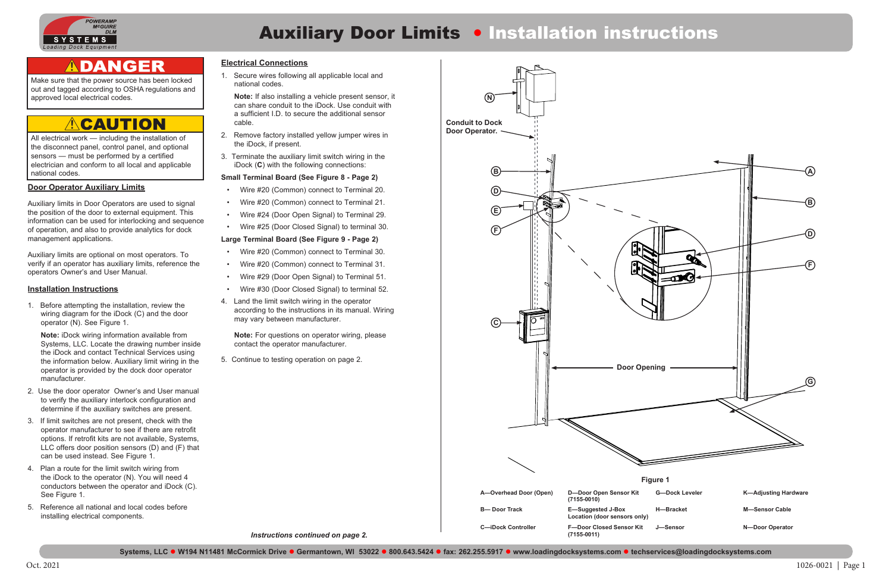

# **Auxiliary Door Limits . Installation instructions**

## ADANGER

Oct. 2021 1026-0021 | Page 1

### **Door Operator Auxiliary Limits**

Auxiliary limits in Door Operators are used to signal the position of the door to external equipment. This information can be used for interlocking and sequence of operation, and also to provide analytics for dock management applications.

Auxiliary limits are optional on most operators. To verify if an operator has auxiliary limits, reference the operators Owner's and User Manual.

### **Installation Instructions**

1. Before attempting the installation, review the wiring diagram for the iDock (C) and the door operator (N). See Figure 1.

**Note:** iDock wiring information available from Systems, LLC. Locate the drawing number inside the iDock and contact Technical Services using the information below. Auxiliary limit wiring in the operator is provided by the dock door operator manufacturer.

- 2. Use the door operator Owner's and User manual to verify the auxiliary interlock configuration and determine if the auxiliary switches are present.
- 3. If limit switches are not present, check with the operator manufacturer to see if there are retrofit options. If retrofit kits are not available, Systems, LLC offers door position sensors (D) and (F) that can be used instead. See Figure 1.
- 4. Plan a route for the limit switch wiring from the iDock to the operator (N). You will need 4 conductors between the operator and iDock (C). See Figure 1.
- 5. Reference all national and local codes before installing electrical components.

Make sure that the power source has been locked out and tagged according to OSHA regulations and approved local electrical codes.

### **CAUTION**  $\sqrt{N}$

All electrical work — including the installation of the disconnect panel, control panel, and optional sensors — must be performed by a certified electrician and conform to all local and applicable national codes.

### **Electrical Connections**

1. Secure wires following all applicable local and national codes.

**Note:** If also installing a vehicle present sensor, it can share conduit to the iDock. Use conduit with a sufficient I.D. to secure the additional sensor cable.

- 2. Remove factory installed yellow jumper wires in the iDock, if present.
- 3. Terminate the auxiliary limit switch wiring in the iDock (**C**) with the following connections:

### **Small Terminal Board (See Figure 8 - Page 2)**

- Wire #20 (Common) connect to Terminal 20.
- Wire #20 (Common) connect to Terminal 21.
- Wire #24 (Door Open Signal) to Terminal 29.
- Wire #25 (Door Closed Signal) to terminal 30.

### **Large Terminal Board (See Figure 9 - Page 2)**

- Wire #20 (Common) connect to Terminal 30.
- Wire #20 (Common) connect to Terminal 31.
- Wire #29 (Door Open Signal) to Terminal 51.
- Wire #30 (Door Closed Signal) to terminal 52.
- 4. Land the limit switch wiring in the operator according to the instructions in its manual. Wiring may vary between manufacturer.

**Note:** For questions on operator wiring, please contact the operator manufacturer.

5. Continue to testing operation on page 2.

*Instructions continued on page 2.*